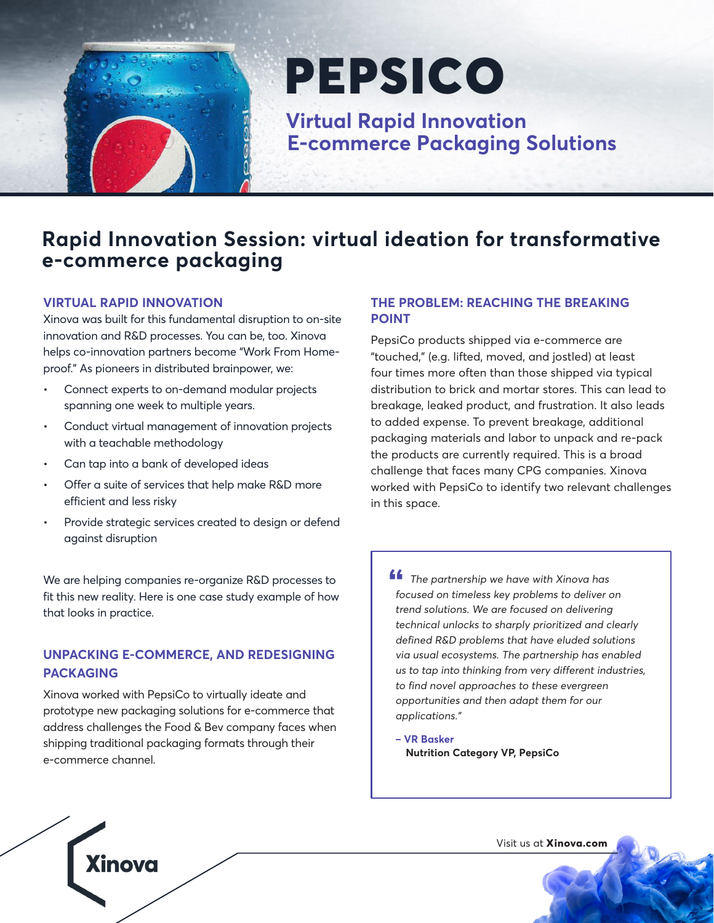

# PEPSICO

 **Virtual Rapid Innovation E-commerce Packaging Solutions**

## **Rapid Innovation Session: virtual ideation for transformative e-commerce packaging**

### **VIRTUAL RAPID INNOVATION**

Xinova was built for this fundamental disruption to on-site innovation and R&D processes. You can be, too. Xinova helps co-innovation partners become "Work From Homeproof." As pioneers in distributed brainpower, we:

- Connect experts to on-demand modular projects spanning one week to multiple years.
- Conduct virtual management of innovation projects with a teachable methodology
- Can tap into a bank of developed ideas
- Offer a suite of services that help make R&D more efficient and less risky
- Provide strategic services created to design or defend against disruption

We are helping companies re-organize R&D processes to fit this new reality. Here is one case study example of how that looks in practice.

## **UNPACKING E-COMMERCE, AND REDESIGNING PACKAGING**

Xinova worked with PepsiCo to virtually ideate and prototype new packaging solutions for e-commerce that address challenges the Food & Bev company faces when shipping traditional packaging formats through their e-commerce channel.

Xinova

### **THE PROBLEM: REACHING THE BREAKING POINT**

PepsiCo products shipped via e-commerce are "touched," (e.g. lifted, moved, and jostled) at least four times more often than those shipped via typical distribution to brick and mortar stores. This can lead to breakage, leaked product, and frustration. It also leads to added expense. To prevent breakage, additional packaging materials and labor to unpack and re-pack the products are currently required. This is a broad challenge that faces many CPG companies. Xinova worked with PepsiCo to identify two relevant challenges in this space.

 $\blacksquare$  The partnership we have with Xinova has focused on timeless key problems to deliver on trend solutions. We are focused on delivering technical unlocks to sharply prioritized and clearly defined R&D problems that have eluded solutions via usual ecosystems. The partnership has enabled us to tap into thinking from very different industries, to find novel approaches to these evergreen opportunities and then adapt them for our applications." **"**<br>**"**<br>*fc* 

**– VR Basker Nutrition Category VP, PepsiCo**